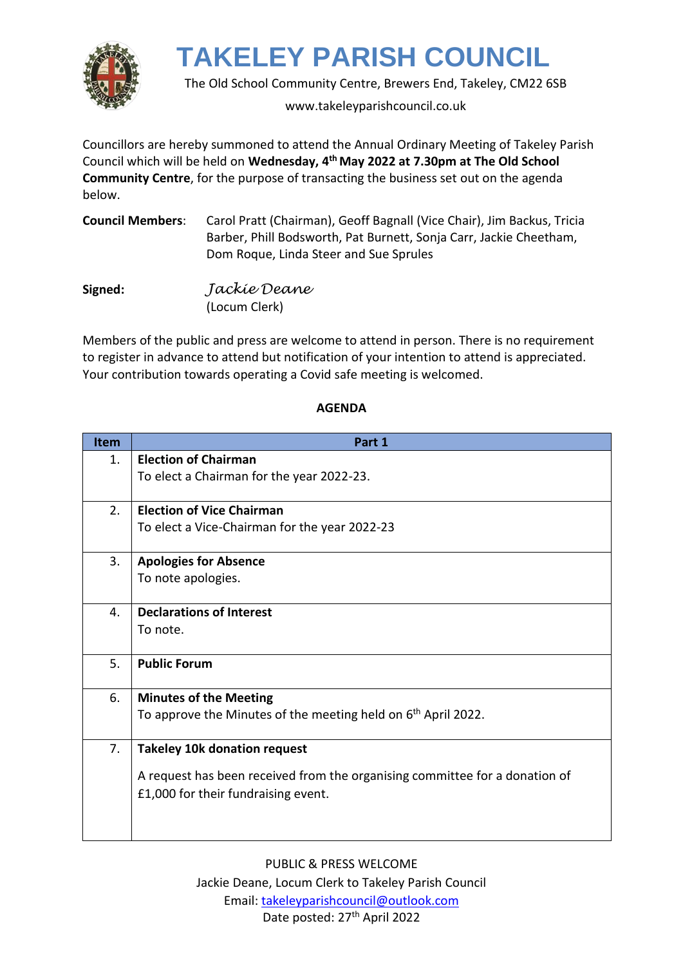

The Old School Community Centre, Brewers End, Takeley, CM22 6SB

www.takeleyparishcouncil.co.uk

Councillors are hereby summoned to attend the Annual Ordinary Meeting of Takeley Parish Council which will be held on **Wednesday, 4 th May 2022 at 7.30pm at The Old School Community Centre**, for the purpose of transacting the business set out on the agenda below.

| <b>Council Members:</b> | Carol Pratt (Chairman), Geoff Bagnall (Vice Chair), Jim Backus, Tricia |
|-------------------------|------------------------------------------------------------------------|
|                         | Barber, Phill Bodsworth, Pat Burnett, Sonja Carr, Jackie Cheetham,     |
|                         | Dom Roque, Linda Steer and Sue Sprules                                 |

**Signed:** *Jackie Deane* (Locum Clerk)

Members of the public and press are welcome to attend in person. There is no requirement to register in advance to attend but notification of your intention to attend is appreciated. Your contribution towards operating a Covid safe meeting is welcomed.

## **AGENDA**

| <b>Item</b> | Part 1                                                                      |
|-------------|-----------------------------------------------------------------------------|
| 1.          | <b>Election of Chairman</b>                                                 |
|             | To elect a Chairman for the year 2022-23.                                   |
|             |                                                                             |
| 2.          | <b>Election of Vice Chairman</b>                                            |
|             | To elect a Vice-Chairman for the year 2022-23                               |
| 3.          | <b>Apologies for Absence</b>                                                |
|             | To note apologies.                                                          |
| 4.          | <b>Declarations of Interest</b>                                             |
|             | To note.                                                                    |
|             |                                                                             |
| 5.          | <b>Public Forum</b>                                                         |
| 6.          | <b>Minutes of the Meeting</b>                                               |
|             | To approve the Minutes of the meeting held on $6th$ April 2022.             |
| 7.          | <b>Takeley 10k donation request</b>                                         |
|             | A request has been received from the organising committee for a donation of |
|             | £1,000 for their fundraising event.                                         |
|             |                                                                             |
|             |                                                                             |

PUBLIC & PRESS WELCOME Jackie Deane, Locum Clerk to Takeley Parish Council Email: [takeleyparishcouncil@outlook.com](mailto:takeleyparishcouncil@outlook.com) Date posted: 27<sup>th</sup> April 2022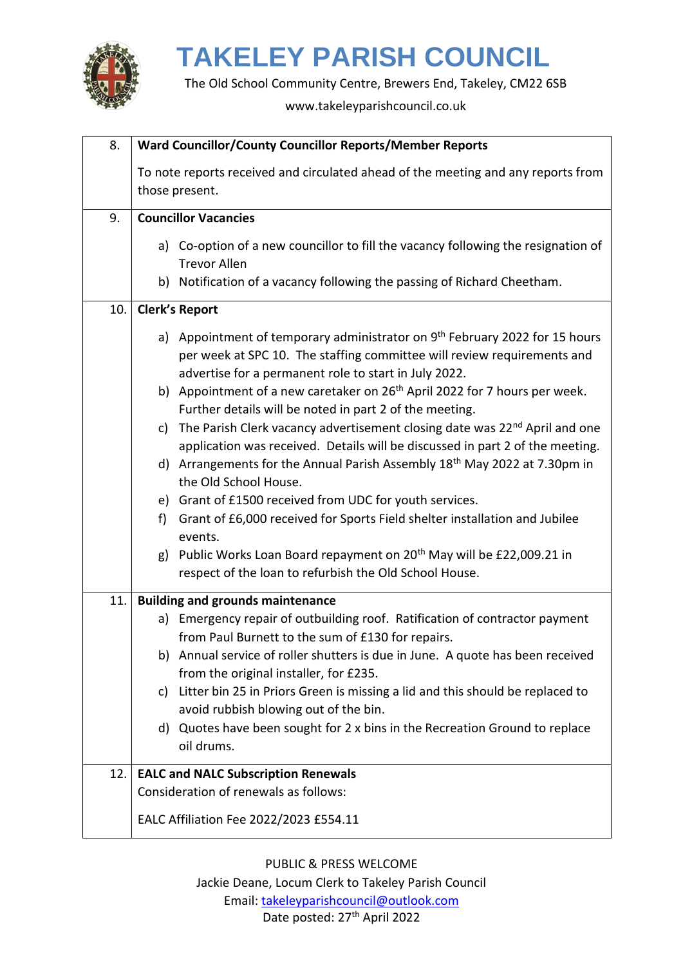

The Old School Community Centre, Brewers End, Takeley, CM22 6SB

www.takeleyparishcouncil.co.uk

| 8.  | Ward Councillor/County Councillor Reports/Member Reports                                                                                                                                                                    |  |
|-----|-----------------------------------------------------------------------------------------------------------------------------------------------------------------------------------------------------------------------------|--|
|     | To note reports received and circulated ahead of the meeting and any reports from<br>those present.                                                                                                                         |  |
| 9.  | <b>Councillor Vacancies</b>                                                                                                                                                                                                 |  |
|     | a) Co-option of a new councillor to fill the vacancy following the resignation of<br><b>Trevor Allen</b>                                                                                                                    |  |
|     | b) Notification of a vacancy following the passing of Richard Cheetham.                                                                                                                                                     |  |
| 10. | <b>Clerk's Report</b>                                                                                                                                                                                                       |  |
|     | a) Appointment of temporary administrator on 9 <sup>th</sup> February 2022 for 15 hours<br>per week at SPC 10. The staffing committee will review requirements and<br>advertise for a permanent role to start in July 2022. |  |
|     | b) Appointment of a new caretaker on 26 <sup>th</sup> April 2022 for 7 hours per week.<br>Further details will be noted in part 2 of the meeting.                                                                           |  |
|     | The Parish Clerk vacancy advertisement closing date was 22 <sup>nd</sup> April and one<br>c)<br>application was received. Details will be discussed in part 2 of the meeting.                                               |  |
|     | d) Arrangements for the Annual Parish Assembly 18 <sup>th</sup> May 2022 at 7.30pm in<br>the Old School House.                                                                                                              |  |
|     | e) Grant of £1500 received from UDC for youth services.                                                                                                                                                                     |  |
|     | Grant of £6,000 received for Sports Field shelter installation and Jubilee<br>f)<br>events.                                                                                                                                 |  |
|     | g) Public Works Loan Board repayment on 20 <sup>th</sup> May will be £22,009.21 in<br>respect of the loan to refurbish the Old School House.                                                                                |  |
| 11. | <b>Building and grounds maintenance</b>                                                                                                                                                                                     |  |
|     | a) Emergency repair of outbuilding roof. Ratification of contractor payment<br>from Paul Burnett to the sum of £130 for repairs.                                                                                            |  |
|     | b) Annual service of roller shutters is due in June. A quote has been received<br>from the original installer, for £235.                                                                                                    |  |
|     | c) Litter bin 25 in Priors Green is missing a lid and this should be replaced to<br>avoid rubbish blowing out of the bin.                                                                                                   |  |
|     | d) Quotes have been sought for 2 x bins in the Recreation Ground to replace<br>oil drums.                                                                                                                                   |  |
| 12. | <b>EALC and NALC Subscription Renewals</b>                                                                                                                                                                                  |  |
|     | Consideration of renewals as follows:                                                                                                                                                                                       |  |
|     | EALC Affiliation Fee 2022/2023 £554.11                                                                                                                                                                                      |  |

PUBLIC & PRESS WELCOME

Jackie Deane, Locum Clerk to Takeley Parish Council Email: [takeleyparishcouncil@outlook.com](mailto:takeleyparishcouncil@outlook.com) Date posted: 27<sup>th</sup> April 2022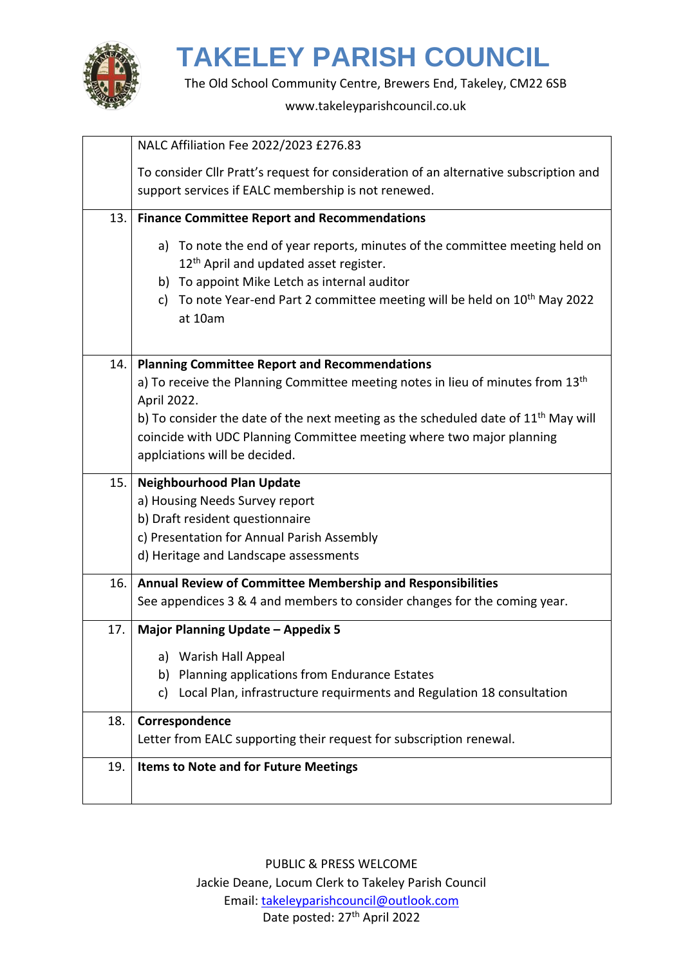

The Old School Community Centre, Brewers End, Takeley, CM22 6SB

www.takeleyparishcouncil.co.uk

|     | NALC Affiliation Fee 2022/2023 £276.83                                                                                                                                                                                                                                           |
|-----|----------------------------------------------------------------------------------------------------------------------------------------------------------------------------------------------------------------------------------------------------------------------------------|
|     | To consider Cllr Pratt's request for consideration of an alternative subscription and<br>support services if EALC membership is not renewed.                                                                                                                                     |
|     |                                                                                                                                                                                                                                                                                  |
| 13. | <b>Finance Committee Report and Recommendations</b>                                                                                                                                                                                                                              |
|     | a) To note the end of year reports, minutes of the committee meeting held on<br>12 <sup>th</sup> April and updated asset register.<br>b) To appoint Mike Letch as internal auditor<br>c) To note Year-end Part 2 committee meeting will be held on $10^{th}$ May 2022<br>at 10am |
| 14. | <b>Planning Committee Report and Recommendations</b>                                                                                                                                                                                                                             |
|     | a) To receive the Planning Committee meeting notes in lieu of minutes from 13 <sup>th</sup>                                                                                                                                                                                      |
|     | April 2022.                                                                                                                                                                                                                                                                      |
|     | b) To consider the date of the next meeting as the scheduled date of $11th$ May will                                                                                                                                                                                             |
|     | coincide with UDC Planning Committee meeting where two major planning                                                                                                                                                                                                            |
|     | applciations will be decided.                                                                                                                                                                                                                                                    |
| 15. | <b>Neighbourhood Plan Update</b>                                                                                                                                                                                                                                                 |
|     | a) Housing Needs Survey report                                                                                                                                                                                                                                                   |
|     | b) Draft resident questionnaire                                                                                                                                                                                                                                                  |
|     | c) Presentation for Annual Parish Assembly                                                                                                                                                                                                                                       |
|     | d) Heritage and Landscape assessments                                                                                                                                                                                                                                            |
| 16. | Annual Review of Committee Membership and Responsibilities                                                                                                                                                                                                                       |
|     | See appendices 3 & 4 and members to consider changes for the coming year.                                                                                                                                                                                                        |
| 17. | <b>Major Planning Update - Appedix 5</b>                                                                                                                                                                                                                                         |
|     | a) Warish Hall Appeal                                                                                                                                                                                                                                                            |
|     | b) Planning applications from Endurance Estates                                                                                                                                                                                                                                  |
|     | Local Plan, infrastructure requirments and Regulation 18 consultation<br>c)                                                                                                                                                                                                      |
| 18. | Correspondence                                                                                                                                                                                                                                                                   |
|     | Letter from EALC supporting their request for subscription renewal.                                                                                                                                                                                                              |
| 19. | Items to Note and for Future Meetings                                                                                                                                                                                                                                            |
|     |                                                                                                                                                                                                                                                                                  |
|     |                                                                                                                                                                                                                                                                                  |